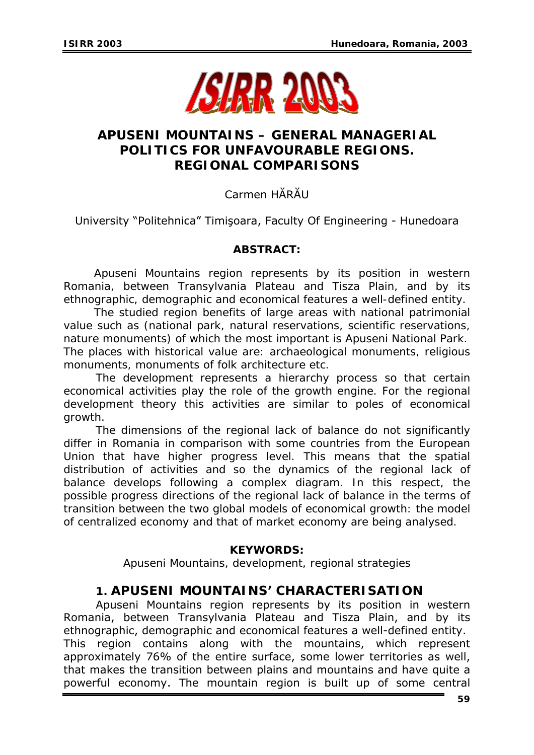

## **APUSENI MOUNTAINS – GENERAL MANAGERIAL POLITICS FOR UNFAVOURABLE REGIONS. REGIONAL COMPARISONS**

# Carmen HĂRĂU

University "Politehnica" Timişoara, Faculty Of Engineering - Hunedoara

## *ABSTRACT:*

*Apuseni Mountains region represents by its position in western Romania, between Transylvania Plateau and Tisza Plain, and by its ethnographic, demographic and economical features a well-defined entity.* 

*The studied region benefits of large areas with national patrimonial value such as (national park, natural reservations, scientific reservations, nature monuments) of which the most important is Apuseni National Park. The places with historical value are: archaeological monuments, religious monuments, monuments of folk architecture etc.*

*The development represents a hierarchy process so that certain*  economical activities play the role of the growth engine. For the regional *development theory this activities are similar to poles of economical growth.* 

*The dimensions of the regional lack of balance do not significantly differ in Romania in comparison with some countries from the European Union that have higher progress level. This means that the spatial distribution of activities and so the dynamics of the regional lack of balance develops following a complex diagram. In this respect, the possible progress directions of the regional lack of balance in the terms of transition between the two global models of economical growth: the model of centralized economy and that of market economy are being analysed.* 

### *KEYWORDS:*

*Apuseni Mountains, development, regional strategies*

## **1. APUSENI MOUNTAINS' CHARACTERISATION**

Apuseni Mountains region represents by its position in western Romania, between Transylvania Plateau and Tisza Plain, and by its ethnographic, demographic and economical features a well-defined entity. This region contains along with the mountains, which represent approximately 76% of the entire surface, some lower territories as well, that makes the transition between plains and mountains and have quite a powerful economy. The mountain region is built up of some central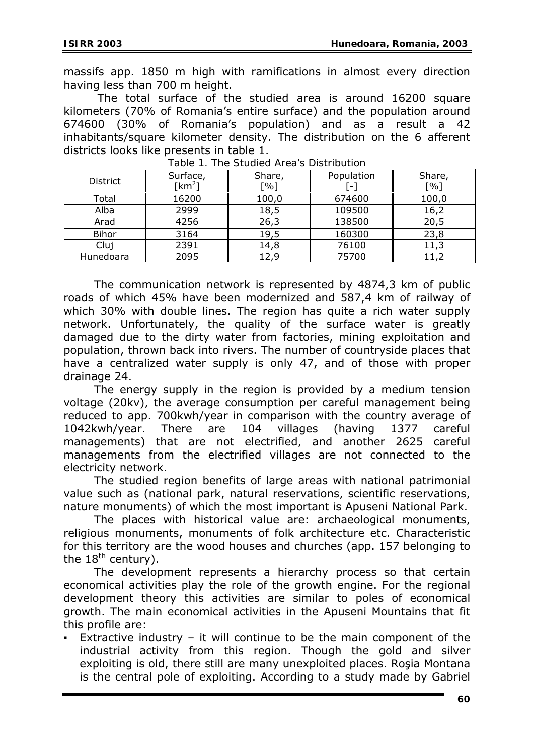massifs app. 1850 m high with ramifications in almost every direction having less than 700 m height.

 The total surface of the studied area is around 16200 square kilometers (70% of Romania's entire surface) and the population around 674600 (30% of Romania's population) and as a result a 42 inhabitants/square kilometer density. The distribution on the 6 afferent districts looks like presents in table 1.

| <b>District</b> | Surface,<br>[km <sup>2</sup> ] | Share,<br>$\lceil 0/6 \rceil$ | Population<br>$\qquad \qquad \blacksquare$ | Share,<br>$\lceil \% \rceil$ |
|-----------------|--------------------------------|-------------------------------|--------------------------------------------|------------------------------|
| Total           | 16200                          | 100,0                         | 674600                                     | 100,0                        |
| Alba            | 2999                           | 18,5                          | 109500                                     | 16,2                         |
| Arad            | 4256                           | 26,3                          | 138500                                     | 20,5                         |
| Bihor           | 3164                           | 19,5                          | 160300                                     | 23,8                         |
| Cluj            | 2391                           | 14,8                          | 76100                                      | 11,3                         |
| Hunedoara       | 2095                           | 12,9                          | 75700                                      | 11,2                         |

*Table 1. The Studied Area's Distribution* 

The communication network is represented by 4874,3 km of public roads of which 45% have been modernized and 587,4 km of railway of which 30% with double lines. The region has quite a rich water supply network. Unfortunately, the quality of the surface water is greatly damaged due to the dirty water from factories, mining exploitation and population, thrown back into rivers. The number of countryside places that have a centralized water supply is only 47, and of those with proper drainage 24.

The energy supply in the region is provided by a medium tension voltage (20kv), the average consumption per careful management being reduced to app. 700kwh/year in comparison with the country average of 1042kwh/year. There are 104 villages (having 1377 careful managements) that are not electrified, and another 2625 careful managements from the electrified villages are not connected to the electricity network.

The studied region benefits of large areas with national patrimonial value such as (national park, natural reservations, scientific reservations, nature monuments) of which the most important is Apuseni National Park.

The places with historical value are: archaeological monuments, religious monuments, monuments of folk architecture etc. Characteristic for this territory are the wood houses and churches (app. 157 belonging to the 18<sup>th</sup> century).

The development represents a hierarchy process so that certain economical activities play the role of the growth engine. For the regional development theory this activities are similar to poles of economical growth. The main economical activities in the Apuseni Mountains that fit this profile are:

Extractive industry – it will continue to be the main component of the industrial activity from this region. Though the gold and silver exploiting is old, there still are many unexploited places. Rosia Montana is the central pole of exploiting. According to a study made by Gabriel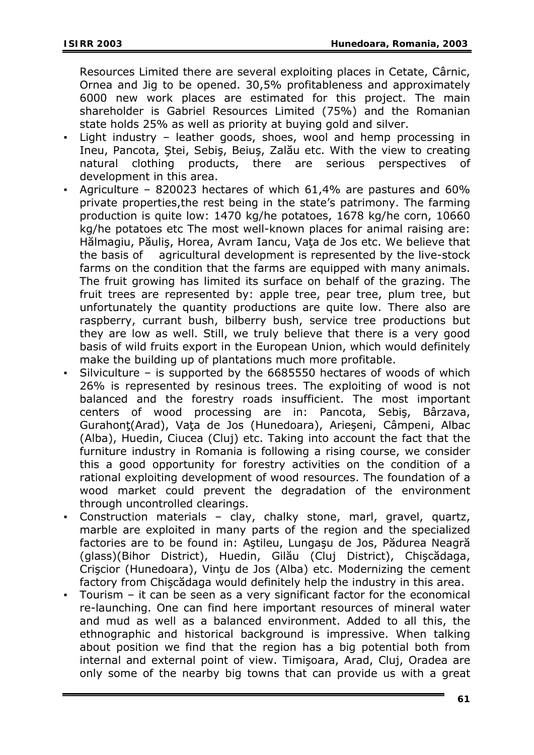Resources Limited there are several exploiting places in Cetate, Cârnic, Ornea and Jig to be opened. 30,5% profitableness and approximately 6000 new work places are estimated for this project. The main shareholder is Gabriel Resources Limited (75%) and the Romanian state holds 25% as well as priority at buying gold and silver.

- Light industry  $-$  leather goods, shoes, wool and hemp processing in Ineu, Pancota, Ştei, Sebiş, Beiuş, Zalău etc. With the view to creating natural clothing products, there are serious perspectives of development in this area.
- Agriculture 820023 hectares of which  $61,4\%$  are pastures and  $60\%$ private properties,the rest being in the state's patrimony. The farming production is quite low: 1470 kg/he potatoes, 1678 kg/he corn, 10660 kg/he potatoes etc The most well-known places for animal raising are: Hălmagiu, Păuliş, Horea, Avram Iancu, Vaţa de Jos etc. We believe that the basis of agricultural development is represented by the live-stock farms on the condition that the farms are equipped with many animals. The fruit growing has limited its surface on behalf of the grazing. The fruit trees are represented by: apple tree, pear tree, plum tree, but unfortunately the quantity productions are quite low. There also are raspberry, currant bush, bilberry bush, service tree productions but they are low as well. Still, we truly believe that there is a very good basis of wild fruits export in the European Union, which would definitely make the building up of plantations much more profitable.
- Silviculture is supported by the  $6685550$  hectares of woods of which 26% is represented by resinous trees. The exploiting of wood is not balanced and the forestry roads insufficient. The most important centers of wood processing are in: Pancota, Sebiş, Bârzava, Gurahonţ(Arad), Vaţa de Jos (Hunedoara), Arieşeni, Câmpeni, Albac (Alba), Huedin, Ciucea (Cluj) etc. Taking into account the fact that the furniture industry in Romania is following a rising course, we consider this a good opportunity for forestry activities on the condition of a rational exploiting development of wood resources. The foundation of a wood market could prevent the degradation of the environment through uncontrolled clearings.
- Construction materials clay, chalky stone, marl, gravel, quartz, marble are exploited in many parts of the region and the specialized factories are to be found in: Aştileu, Lungaşu de Jos, Pădurea Neagră (glass)(Bihor District), Huedin, Gilău (Cluj District), Chişcădaga, Crişcior (Hunedoara), Vinţu de Jos (Alba) etc. Modernizing the cement factory from Chişcădaga would definitely help the industry in this area.
- Tourism  $-$  it can be seen as a very significant factor for the economical re-launching. One can find here important resources of mineral water and mud as well as a balanced environment. Added to all this, the ethnographic and historical background is impressive. When talking about position we find that the region has a big potential both from internal and external point of view. Timişoara, Arad, Cluj, Oradea are only some of the nearby big towns that can provide us with a great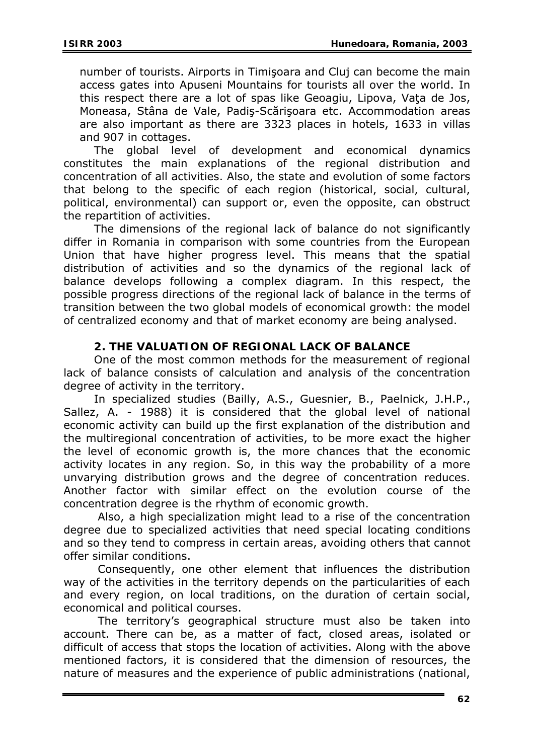number of tourists. Airports in Timişoara and Cluj can become the main access gates into Apuseni Mountains for tourists all over the world. In this respect there are a lot of spas like Geoagiu, Lipova, Vata de Jos, Moneasa, Stâna de Vale, Padiş-Scărişoara etc. Accommodation areas are also important as there are 3323 places in hotels, 1633 in villas and 907 in cottages.

The global level of development and economical dynamics constitutes the main explanations of the regional distribution and concentration of all activities. Also, the state and evolution of some factors that belong to the specific of each region (historical, social, cultural, political, environmental) can support or, even the opposite, can obstruct the repartition of activities.

The dimensions of the regional lack of balance do not significantly differ in Romania in comparison with some countries from the European Union that have higher progress level. This means that the spatial distribution of activities and so the dynamics of the regional lack of balance develops following a complex diagram. In this respect, the possible progress directions of the regional lack of balance in the terms of transition between the two global models of economical growth: the model of centralized economy and that of market economy are being analysed.

### **2. THE VALUATION OF REGIONAL LACK OF BALANCE**

One of the most common methods for the measurement of regional lack of balance consists of calculation and analysis of the concentration degree of activity in the territory.

In specialized studies (Bailly, A.S., Guesnier, B., Paelnick, J.H.P., Sallez, A. - 1988) it is considered that the global level of national economic activity can build up the first explanation of the distribution and the multiregional concentration of activities, to be more exact the higher the level of economic growth is, the more chances that the economic activity locates in any region. So, in this way the probability of a more unvarying distribution grows and the degree of concentration reduces. Another factor with similar effect on the evolution course of the concentration degree is the rhythm of economic growth.

 Also, a high specialization might lead to a rise of the concentration degree due to specialized activities that need special locating conditions and so they tend to compress in certain areas, avoiding others that cannot offer similar conditions.

 Consequently, one other element that influences the distribution way of the activities in the territory depends on the particularities of each and every region, on local traditions, on the duration of certain social, economical and political courses.

 The territory's geographical structure must also be taken into account. There can be, as a matter of fact, closed areas, isolated or difficult of access that stops the location of activities. Along with the above mentioned factors, it is considered that the dimension of resources, the nature of measures and the experience of public administrations (national,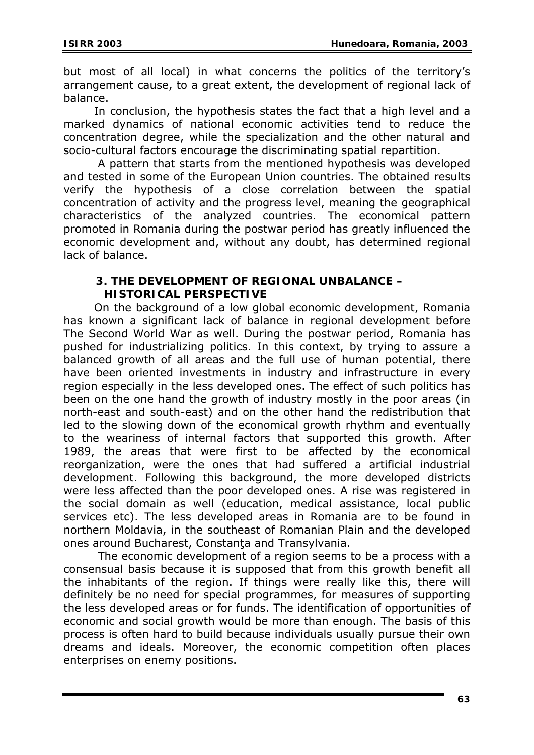but most of all local) in what concerns the politics of the territory's arrangement cause, to a great extent, the development of regional lack of balance.

In conclusion, the hypothesis states the fact that a high level and a marked dynamics of national economic activities tend to reduce the concentration degree, while the specialization and the other natural and socio-cultural factors encourage the discriminating spatial repartition.

 A pattern that starts from the mentioned hypothesis was developed and tested in some of the European Union countries. The obtained results verify the hypothesis of a close correlation between the spatial concentration of activity and the progress level, meaning the geographical characteristics of the analyzed countries. The economical pattern promoted in Romania during the postwar period has greatly influenced the economic development and, without any doubt, has determined regional lack of balance.

#### **3. THE DEVELOPMENT OF REGIONAL UNBALANCE – HISTORICAL PERSPECTIVE**

On the background of a low global economic development, Romania has known a significant lack of balance in regional development before The Second World War as well. During the postwar period, Romania has pushed for industrializing politics. In this context, by trying to assure a balanced growth of all areas and the full use of human potential, there have been oriented investments in industry and infrastructure in every region especially in the less developed ones. The effect of such politics has been on the one hand the growth of industry mostly in the poor areas (in north-east and south-east) and on the other hand the redistribution that led to the slowing down of the economical growth rhythm and eventually to the weariness of internal factors that supported this growth. After 1989, the areas that were first to be affected by the economical reorganization, were the ones that had suffered a artificial industrial development. Following this background, the more developed districts were less affected than the poor developed ones. A rise was registered in the social domain as well (education, medical assistance, local public services etc). The less developed areas in Romania are to be found in northern Moldavia, in the southeast of Romanian Plain and the developed ones around Bucharest, Constanţa and Transylvania.

 The economic development of a region seems to be a process with a consensual basis because it is supposed that from this growth benefit all the inhabitants of the region. If things were really like this, there will definitely be no need for special programmes, for measures of supporting the less developed areas or for funds. The identification of opportunities of economic and social growth would be more than enough. The basis of this process is often hard to build because individuals usually pursue their own dreams and ideals. Moreover, the economic competition often places enterprises on enemy positions.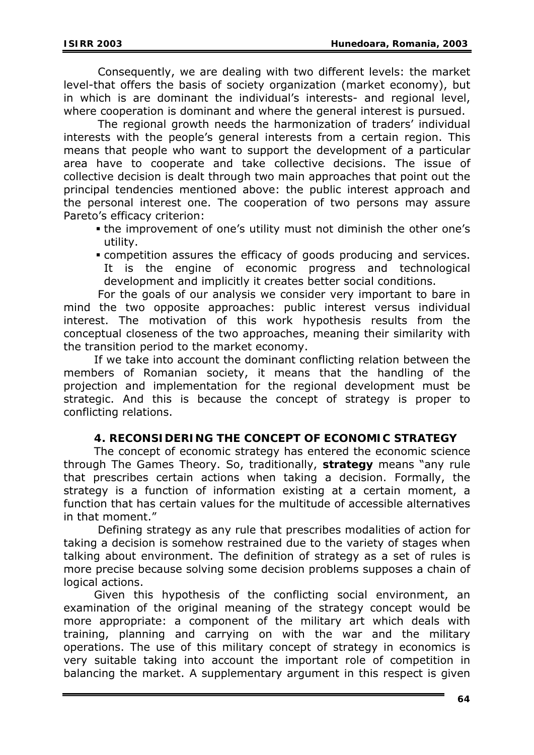Consequently, we are dealing with two different levels: the market level-that offers the basis of society organization (market economy), but in which is are dominant the individual's interests- and regional level, where cooperation is dominant and where the general interest is pursued.

 The regional growth needs the harmonization of traders' individual interests with the people's general interests from a certain region. This means that people who want to support the development of a particular area have to cooperate and take collective decisions. The issue of collective decision is dealt through two main approaches that point out the principal tendencies mentioned above: the public interest approach and the personal interest one. The cooperation of two persons may assure Pareto's efficacy criterion:

- the improvement of one's utility must not diminish the other one's utility.
- competition assures the efficacy of goods producing and services. It is the engine of economic progress and technological development and implicitly it creates better social conditions.

 For the goals of our analysis we consider very important to bare in mind the two opposite approaches: public interest versus individual interest. The motivation of this work hypothesis results from the conceptual closeness of the two approaches, meaning their similarity with the transition period to the market economy.

If we take into account the dominant conflicting relation between the members of Romanian society, it means that the handling of the projection and implementation for the regional development must be strategic. And this is because the concept of strategy is proper to conflicting relations.

## **4. RECONSIDERING THE CONCEPT OF ECONOMIC STRATEGY**

The concept of economic strategy has entered the economic science through *The Games Theory*. So, traditionally, **strategy** means "any rule that prescribes certain actions when taking a decision. Formally, the strategy is a function of information existing at a certain moment, a function that has certain values for the multitude of accessible alternatives in that moment."

 Defining strategy as any rule that prescribes modalities of action for taking a decision is somehow restrained due to the variety of stages when talking about environment. The definition of strategy as a set of rules is more precise because solving some decision problems supposes a chain of logical actions.

Given this hypothesis of the conflicting social environment, an examination of the original meaning of the strategy concept would be more appropriate: a component of the military art which deals with training, planning and carrying on with the war and the military operations. The use of this military concept of strategy in economics is very suitable taking into account the important role of competition in balancing the market. A supplementary argument in this respect is given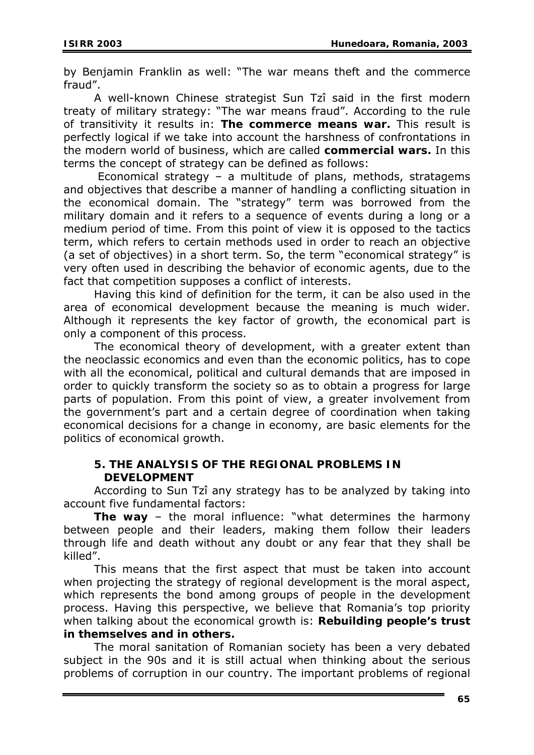by Benjamin Franklin as well: "The war means theft and the commerce fraud".

A well-known Chinese strategist Sun Tzî said in the first modern treaty of military strategy: "The war means fraud". According to the rule of transitivity it results in: **The commerce means war.** This result is perfectly logical if we take into account the harshness of confrontations in the modern world of business, which are called **commercial wars.** In this terms the concept of strategy can be defined as follows:

 Economical strategy – a multitude of plans, methods, stratagems and objectives that describe a manner of handling a conflicting situation in the economical domain. The "strategy" term was borrowed from the military domain and it refers to a sequence of events during a long or a medium period of time. From this point of view it is opposed to the tactics term, which refers to certain methods used in order to reach an objective (a set of objectives) in a short term. So, the term "economical strategy" is very often used in describing the behavior of economic agents, due to the fact that competition supposes a conflict of interests.

Having this kind of definition for the term, it can be also used in the area of economical development because the meaning is much wider. Although it represents the key factor of growth, the economical part is only a component of this process.

The economical theory of development, with a greater extent than the neoclassic economics and even than the economic politics, has to cope with all the economical, political and cultural demands that are imposed in order to quickly transform the society so as to obtain a progress for large parts of population. From this point of view, a greater involvement from the government's part and a certain degree of coordination when taking economical decisions for a change in economy, are basic elements for the politics of economical growth.

### **5. THE ANALYSIS OF THE REGIONAL PROBLEMS IN DEVELOPMENT**

According to Sun Tzî any strategy has to be analyzed by taking into account five fundamental factors:

**The way** – the moral influence: "what determines the harmony between people and their leaders, making them follow their leaders through life and death without any doubt or any fear that they shall be killed".

This means that the first aspect that must be taken into account when projecting the strategy of regional development is the moral aspect, which represents the bond among groups of people in the development process. Having this perspective, we believe that Romania's top priority when talking about the economical growth is: **Rebuilding people's trust in themselves and in others.** 

The moral sanitation of Romanian society has been a very debated subject in the 90s and it is still actual when thinking about the serious problems of corruption in our country. The important problems of regional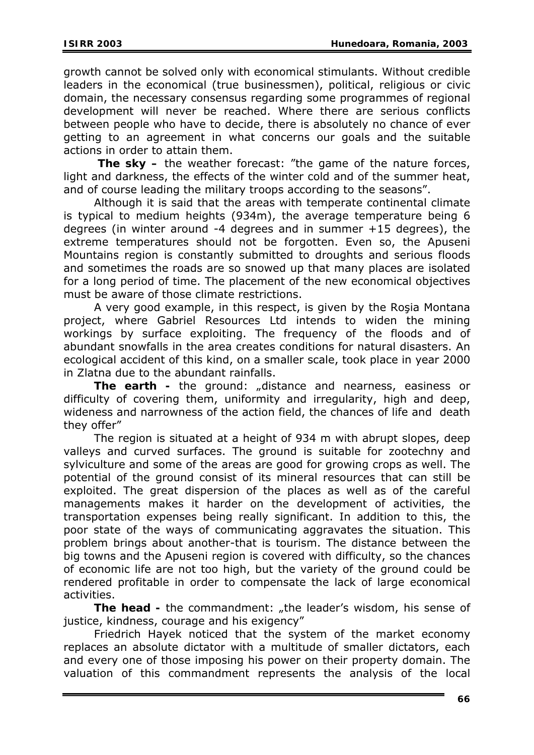growth cannot be solved only with economical stimulants. Without credible leaders in the economical (true businessmen), political, religious or civic domain, the necessary consensus regarding some programmes of regional development will never be reached. Where there are serious conflicts between people who have to decide, there is absolutely no chance of ever getting to an agreement in what concerns our goals and the suitable actions in order to attain them.

**The sky –** the weather forecast: "the game of the nature forces, light and darkness, the effects of the winter cold and of the summer heat, and of course leading the military troops according to the seasons".

Although it is said that the areas with temperate continental climate is typical to medium heights (934m), the average temperature being 6 degrees (in winter around -4 degrees and in summer +15 degrees), the extreme temperatures should not be forgotten. Even so, the Apuseni Mountains region is constantly submitted to droughts and serious floods and sometimes the roads are so snowed up that many places are isolated for a long period of time. The placement of the new economical objectives must be aware of those climate restrictions.

A very good example, in this respect, is given by the Roşia Montana project, where Gabriel Resources Ltd intends to widen the mining workings by surface exploiting. The frequency of the floods and of abundant snowfalls in the area creates conditions for natural disasters. An ecological accident of this kind, on a smaller scale, took place in year 2000 in Zlatna due to the abundant rainfalls.

The earth - the ground: "distance and nearness, easiness or difficulty of covering them, uniformity and irregularity, high and deep, wideness and narrowness of the action field, the chances of life and death they offer"

The region is situated at a height of 934 m with abrupt slopes, deep valleys and curved surfaces. The ground is suitable for zootechny and sylviculture and some of the areas are good for growing crops as well. The potential of the ground consist of its mineral resources that can still be exploited. The great dispersion of the places as well as of the careful managements makes it harder on the development of activities, the transportation expenses being really significant. In addition to this, the poor state of the ways of communicating aggravates the situation. This problem brings about another-that is tourism. The distance between the big towns and the Apuseni region is covered with difficulty, so the chances of economic life are not too high, but the variety of the ground could be rendered profitable in order to compensate the lack of large economical activities.

The head - the commandment: "the leader's wisdom, his sense of justice, kindness, courage and his exigency"

Friedrich Hayek noticed that the system of the market economy replaces an absolute dictator with a multitude of smaller dictators, each and every one of those imposing his power on their property domain. The valuation of this commandment represents the analysis of the local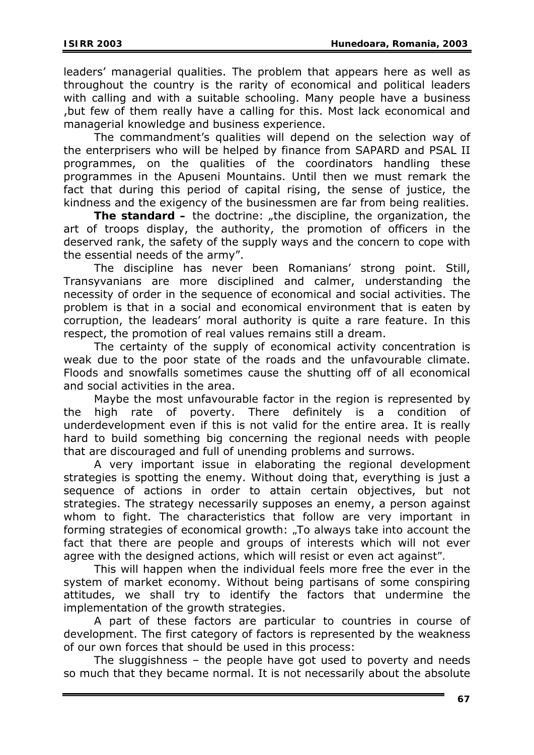leaders' managerial qualities. The problem that appears here as well as throughout the country is the rarity of economical and political leaders with calling and with a suitable schooling. Many people have a business ,but few of them really have a calling for this. Most lack economical and managerial knowledge and business experience.

The commandment's qualities will depend on the selection way of the enterprisers who will be helped by finance from SAPARD and PSAL II programmes, on the qualities of the coordinators handling these programmes in the Apuseni Mountains. Until then we must remark the fact that during this period of capital rising, the sense of justice, the kindness and the exigency of the businessmen are far from being realities.

**The standard –** the doctrine: "the discipline, the organization, the art of troops display, the authority, the promotion of officers in the deserved rank, the safety of the supply ways and the concern to cope with the essential needs of the army".

The discipline has never been Romanians' strong point. Still, Transyvanians are more disciplined and calmer, understanding the necessity of order in the sequence of economical and social activities. The problem is that in a social and economical environment that is eaten by corruption, the leadears' moral authority is quite a rare feature. In this respect, the promotion of real values remains still a dream.

The certainty of the supply of economical activity concentration is weak due to the poor state of the roads and the unfavourable climate. Floods and snowfalls sometimes cause the shutting off of all economical and social activities in the area.

Maybe the most unfavourable factor in the region is represented by the high rate of poverty. There definitely is a condition of underdevelopment even if this is not valid for the entire area. It is really hard to build something big concerning the regional needs with people that are discouraged and full of unending problems and surrows.

A very important issue in elaborating the regional development strategies is spotting the enemy. Without doing that, everything is just a sequence of actions in order to attain certain objectives, but not strategies. The strategy necessarily supposes an enemy, a person against whom to fight. The characteristics that follow are very important in forming strategies of economical growth: *"To always take into account the*  fact that there are people and groups of interests which will not ever *agree with the designed actions, which will resist or even act against".* 

This will happen when the individual feels more free the ever in the system of market economy. Without being partisans of some conspiring attitudes, we shall try to identify the factors that undermine the implementation of the growth strategies.

A part of these factors are particular to countries in course of development. The first category of factors is represented by the weakness of our own forces that should be used in this process:

The sluggishness – the people have got used to poverty and needs so much that they became normal. It is not necessarily about the absolute